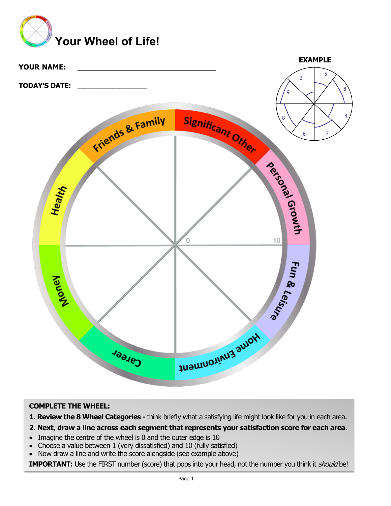



## **COMPLETE THE WHEEL:**

**1. Review the 8 Wheel Categories -** think briefly what a satisfying life might look like for you in each area.

#### **2. Next, draw a line across each segment that represents your satisfaction score for each area.**

- Imagine the centre of the wheel is 0 and the outer edge is 10
- Choose a value between 1 (very dissatisfied) and 10 (fully satisfied)
- Now draw a line and write the score alongside (see example above)

**IMPORTANT:** Use the FIRST number (score) that pops into your head, not the number you think it *should* be!